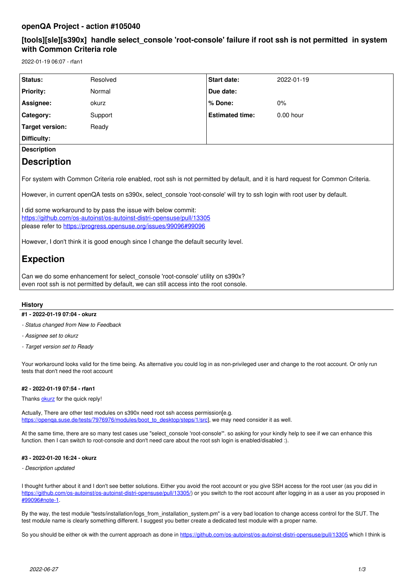## **openQA Project - action #105040**

## **[tools][sle][s390x] handle select\_console 'root-console' failure if root ssh is not permitted in system with Common Criteria role**

2022-01-19 06:07 - rfan1

| Status:            | Resolved | <b>Start date:</b>     | 2022-01-19  |
|--------------------|----------|------------------------|-------------|
| <b>Priority:</b>   | Normal   | Due date:              |             |
| Assignee:          | okurz    | % Done:                | $0\%$       |
| Category:          | Support  | <b>Estimated time:</b> | $0.00$ hour |
| Target version:    | Ready    |                        |             |
| Difficulty:        |          |                        |             |
| <b>Description</b> |          |                        |             |
| <b>Description</b> |          |                        |             |
|                    |          |                        |             |

For system with Common Criteria role enabled, root ssh is not permitted by default, and it is hard request for Common Criteria.

However, in current openQA tests on s390x, select console 'root-console' will try to ssh login with root user by default.

I did some workaround to by pass the issue with below commit: <https://github.com/os-autoinst/os-autoinst-distri-opensuse/pull/13305> please refer to [https://progress.opensuse.org/issues/99096#99096](https://progress.opensuse.org/issues/99096)

However, I don't think it is good enough since I change the default security level.

# **Expection**

Can we do some enhancement for select console 'root-console' utility on s390x? even root ssh is not permitted by default, we can still access into the root console.

## **History**

## **#1 - 2022-01-19 07:04 - okurz**

*- Status changed from New to Feedback*

- *Assignee set to okurz*
- *Target version set to Ready*

Your workaround looks valid for the time being. As alternative you could log in as non-privileged user and change to the root account. Or only run tests that don't need the root account

## **#2 - 2022-01-19 07:54 - rfan1**

Thanks [okurz](progress.opensuse.org/users/17668) for the quick reply!

Actually, There are other test modules on s390x need root ssh access permission[e.g. [https://openqa.suse.de/tests/7976976/modules/boot\\_to\\_desktop/steps/1/src](https://openqa.suse.de/tests/7976976/modules/boot_to_desktop/steps/1/src)], we may need consider it as well.

At the same time, there are so many test cases use "select\_console 'root-console'". so asking for your kindly help to see if we can enhance this function. then I can switch to root-console and don't need care about the root ssh login is enabled/disabled :).

## **#3 - 2022-01-20 16:24 - okurz**

*- Description updated*

I thought further about it and I don't see better solutions. Either you avoid the root account or you give SSH access for the root user (as you did in https://aithub.com/os-autoinst/os-autoinst-distri-opensuse/pull/13305/) or you switch to the root account after logging in as a user as you proposed in [#99096#note-1](https://progress.opensuse.org/issues/99096#note-1).

By the way, the test module "tests/installation/logs\_from\_installation\_system.pm" is a very bad location to change access control for the SUT. The test module name is clearly something different. I suggest you better create a dedicated test module with a proper name.

So you should be either ok with the current approach as done in <https://github.com/os-autoinst/os-autoinst-distri-opensuse/pull/13305>which I think is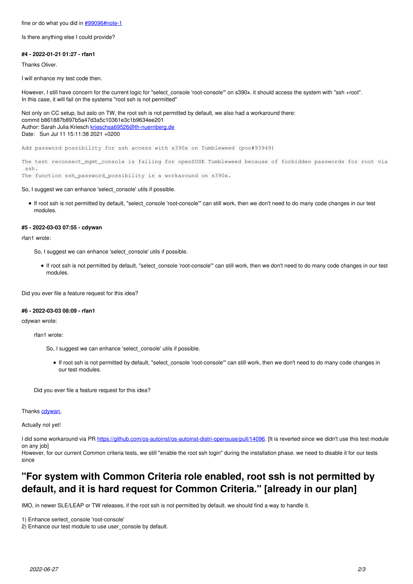fine or do what you did in [#99096#note-1](https://progress.opensuse.org/issues/99096#note-1)

Is there anything else I could provide?

#### **#4 - 2022-01-21 01:27 - rfan1**

Thanks Oliver.

I will enhance my test code then.

However, I still have concern for the current logic for "select console 'root-console" on s390x. it should access the system with "ssh +root". In this case, it will fail on the systems "root ssh is not permitted"

Not only on CC setup, but aslo on TW, the root ssh is not permitted by default, we also had a workaround there: commit b861887b897b5a47d3a5c10361e3c1b9634ee201 Author: Sarah Julia Kriesch [krieschsa69526@th-nuernberg.de](mailto:krieschsa69526@th-nuernberg.de) Date: Sun Jul 11 15:11:38 2021 +0200

Add password possibility for ssh access with s390x on Tumbleweed (poo#93949)

The test reconnect\_mgmt\_console is failing for openSUSE Tumbleweed because of forbidden passwords for root via ssh. The function ssh\_password\_possibility is a workaround on s390x.

So, I suggest we can enhance 'select\_console' utils if possible.

If root ssh is not permitted by default, "select\_console 'root-console'" can still work, then we don't need to do many code changes in our test modules.

#### **#5 - 2022-03-03 07:55 - cdywan**

rfan1 wrote:

So, I suggest we can enhance 'select\_console' utils if possible.

If root ssh is not permitted by default, "select\_console 'root-console'" can still work, then we don't need to do many code changes in our test modules.

Did you ever file a feature request for this idea?

#### **#6 - 2022-03-03 08:09 - rfan1**

cdywan wrote:

rfan1 wrote:

- So, I suggest we can enhance 'select\_console' utils if possible.
	- If root ssh is not permitted by default, "select console 'root-console" can still work, then we don't need to do many code changes in our test modules.

Did you ever file a feature request for this idea?

Thanks [cdywan,](progress.opensuse.org/users/32300)

Actually not yet!

I did some workaround via PR<https://github.com/os-autoinst/os-autoinst-distri-opensuse/pull/14096>. [It is reverted since we didn't use this test module on any job]

However, for our current Common criteria tests, we still "enable the root ssh login" during the installation phase. we need to disable it for our tests since

# **"For system with Common Criteria role enabled, root ssh is not permitted by default, and it is hard request for Common Criteria." [already in our plan]**

IMO, in newer SLE/LEAP or TW releases, if the root ssh is not permitted by default. we should find a way to handle it.

1) Enhance serlect\_console 'root-console'

2) Enhance our test module to use user\_console by default.